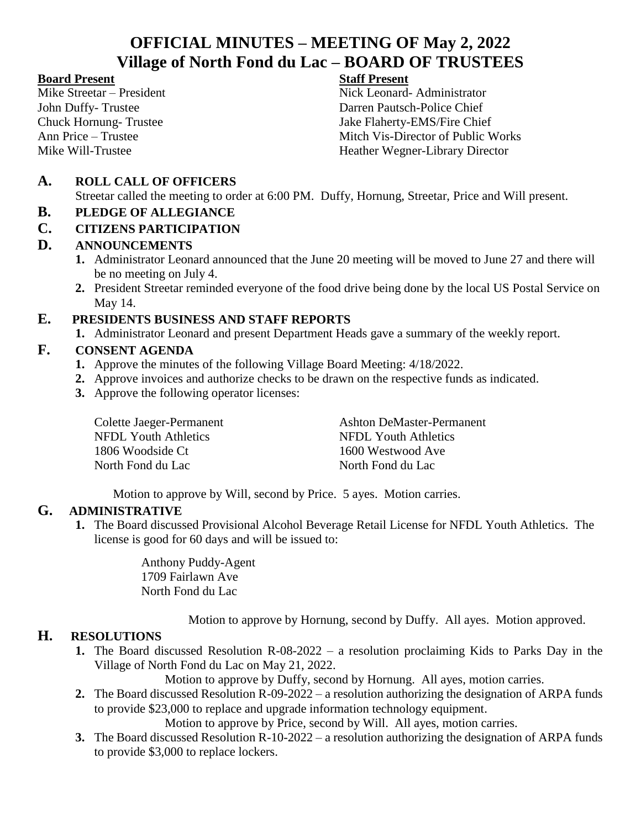# **OFFICIAL MINUTES – MEETING OF May 2, 2022 Village of North Fond du Lac – BOARD OF TRUSTEES**

#### **Board Present Staff Present**

Mike Streetar – President Nick Leonard- Administrator John Duffy- Trustee Darren Pautsch-Police Chief Chuck Hornung- Trustee Jake Flaherty-EMS/Fire Chief Ann Price – Trustee **Mitch Vis-Director of Public Works** Mike Will-Trustee Heather Wegner-Library Director

### **A. ROLL CALL OF OFFICERS**

Streetar called the meeting to order at 6:00 PM. Duffy, Hornung, Streetar, Price and Will present.

#### **B. PLEDGE OF ALLEGIANCE**

#### **C. CITIZENS PARTICIPATION**

#### **D. ANNOUNCEMENTS**

- **1.** Administrator Leonard announced that the June 20 meeting will be moved to June 27 and there will be no meeting on July 4.
- **2.** President Streetar reminded everyone of the food drive being done by the local US Postal Service on May 14.

#### **E. PRESIDENTS BUSINESS AND STAFF REPORTS**

**1.** Administrator Leonard and present Department Heads gave a summary of the weekly report.

#### **F. CONSENT AGENDA**

- **1.** Approve the minutes of the following Village Board Meeting: 4/18/2022.
- **2.** Approve invoices and authorize checks to be drawn on the respective funds as indicated.
- **3.** Approve the following operator licenses:

| Colette Jaeger-Permanent | <b>Ashton DeMaster-Permanent</b> |
|--------------------------|----------------------------------|
| NFDL Youth Athletics     | NFDL Youth Athletics             |
| 1806 Woodside Ct         | 1600 Westwood Ave                |
| North Fond du Lac        | North Fond du Lac                |

Motion to approve by Will, second by Price. 5 ayes. Motion carries.

#### **G. ADMINISTRATIVE**

**1.** The Board discussed Provisional Alcohol Beverage Retail License for NFDL Youth Athletics. The license is good for 60 days and will be issued to:

> Anthony Puddy-Agent 1709 Fairlawn Ave North Fond du Lac

> > Motion to approve by Hornung, second by Duffy. All ayes. Motion approved.

#### **H. RESOLUTIONS**

**1.** The Board discussed Resolution R-08-2022 – a resolution proclaiming Kids to Parks Day in the Village of North Fond du Lac on May 21, 2022.

Motion to approve by Duffy, second by Hornung. All ayes, motion carries.

**2.** The Board discussed Resolution R-09-2022 – a resolution authorizing the designation of ARPA funds to provide \$23,000 to replace and upgrade information technology equipment.

Motion to approve by Price, second by Will. All ayes, motion carries.

**3.** The Board discussed Resolution R-10-2022 – a resolution authorizing the designation of ARPA funds to provide \$3,000 to replace lockers.